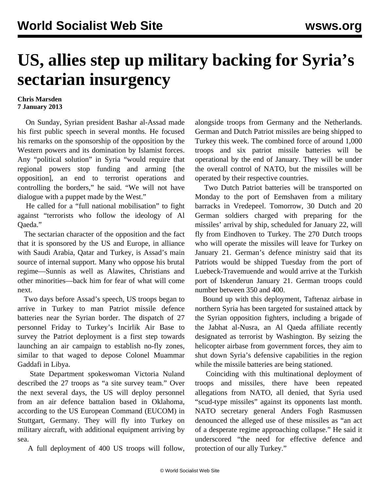## **US, allies step up military backing for Syria's sectarian insurgency**

## **Chris Marsden 7 January 2013**

 On Sunday, Syrian president Bashar al-Assad made his first public speech in several months. He focused his remarks on the sponsorship of the opposition by the Western powers and its domination by Islamist forces. Any "political solution" in Syria "would require that regional powers stop funding and arming [the opposition], an end to terrorist operations and controlling the borders," he said. "We will not have dialogue with a puppet made by the West."

 He called for a "full national mobilisation" to fight against "terrorists who follow the ideology of Al Qaeda."

 The sectarian character of the opposition and the fact that it is sponsored by the US and Europe, in alliance with Saudi Arabia, Qatar and Turkey, is Assad's main source of internal support. Many who oppose his brutal regime—Sunnis as well as Alawites, Christians and other minorities—back him for fear of what will come next.

 Two days before Assad's speech, US troops began to arrive in Turkey to man Patriot missile defence batteries near the Syrian border. The dispatch of 27 personnel Friday to Turkey's Incirlik Air Base to survey the Patriot deployment is a first step towards launching an air campaign to establish no-fly zones, similar to that waged to depose Colonel Muammar Gaddafi in Libya.

 State Department spokeswoman Victoria Nuland described the 27 troops as "a site survey team." Over the next several days, the US will deploy personnel from an air defence battalion based in Oklahoma, according to the US European Command (EUCOM) in Stuttgart, Germany. They will fly into Turkey on military aircraft, with additional equipment arriving by sea.

A full deployment of 400 US troops will follow,

alongside troops from Germany and the Netherlands. German and Dutch Patriot missiles are being shipped to Turkey this week. The combined force of around 1,000 troops and six patriot missile batteries will be operational by the end of January. They will be under the overall control of NATO, but the missiles will be operated by their respective countries.

 Two Dutch Patriot batteries will be transported on Monday to the port of Eemshaven from a military barracks in Vredepeel. Tomorrow, 30 Dutch and 20 German soldiers charged with preparing for the missiles' arrival by ship, scheduled for January 22, will fly from Eindhoven to Turkey. The 270 Dutch troops who will operate the missiles will leave for Turkey on January 21. German's defence ministry said that its Patriots would be shipped Tuesday from the port of Luebeck-Travemuende and would arrive at the Turkish port of Iskenderun January 21. German troops could number between 350 and 400.

 Bound up with this deployment, Taftenaz airbase in northern Syria has been targeted for sustained attack by the Syrian opposition fighters, including a brigade of the Jabhat al-Nusra, an Al Qaeda affiliate recently designated as terrorist by Washington. By seizing the helicopter airbase from government forces, they aim to shut down Syria's defensive capabilities in the region while the missile batteries are being stationed.

 Coinciding with this multinational deployment of troops and missiles, there have been repeated allegations from NATO, all denied, that Syria used "scud-type missiles" against its opponents last month. NATO secretary general Anders Fogh Rasmussen denounced the alleged use of these missiles as "an act of a desperate regime approaching collapse." He said it underscored "the need for effective defence and protection of our ally Turkey."